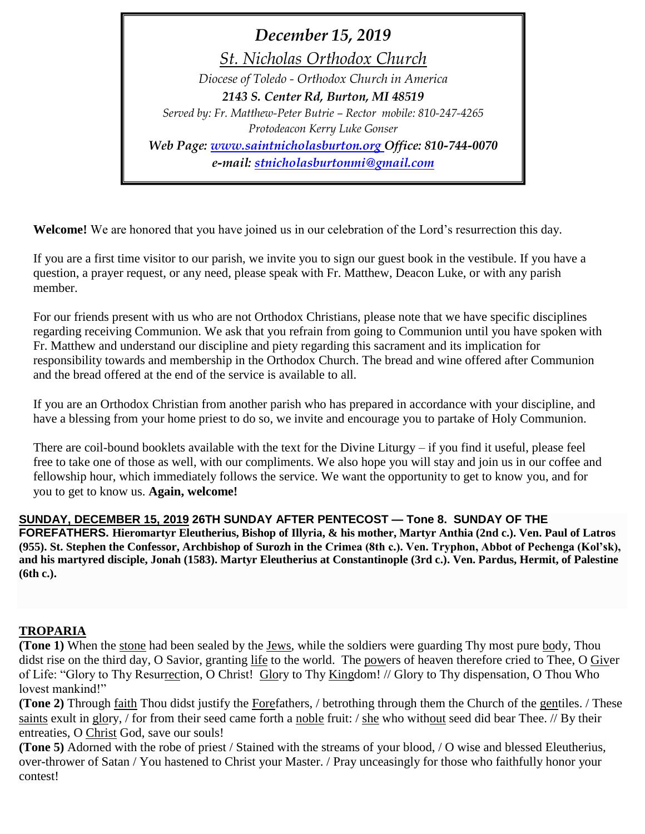*December 15, 2019 St. Nicholas Orthodox Church Diocese of Toledo - Orthodox Church in America 2143 S. Center Rd, Burton, MI 48519 Served by: Fr. Matthew-Peter Butrie – Rector mobile: 810-247-4265 Protodeacon Kerry Luke Gonser Web Page: [www.saintnicholasburton.org](http://www.saintnicholasburton.org/) Office: 810-744-0070 e-mail: [stnicholasburtonmi@gmail.com](mailto:stnicholasburtonmi@gmail.com)*

**Welcome!** We are honored that you have joined us in our celebration of the Lord's resurrection this day.

If you are a first time visitor to our parish, we invite you to sign our guest book in the vestibule. If you have a question, a prayer request, or any need, please speak with Fr. Matthew, Deacon Luke, or with any parish member.

For our friends present with us who are not Orthodox Christians, please note that we have specific disciplines regarding receiving Communion. We ask that you refrain from going to Communion until you have spoken with Fr. Matthew and understand our discipline and piety regarding this sacrament and its implication for responsibility towards and membership in the Orthodox Church. The bread and wine offered after Communion and the bread offered at the end of the service is available to all.

If you are an Orthodox Christian from another parish who has prepared in accordance with your discipline, and have a blessing from your home priest to do so, we invite and encourage you to partake of Holy Communion.

There are coil-bound booklets available with the text for the Divine Liturgy – if you find it useful, please feel free to take one of those as well, with our compliments. We also hope you will stay and join us in our coffee and fellowship hour, which immediately follows the service. We want the opportunity to get to know you, and for you to get to know us. **Again, welcome!**

**SUNDAY, DECEMBER 15, 2019 26TH SUNDAY AFTER PENTECOST — Tone 8. SUNDAY OF THE FOREFATHERS. Hieromartyr Eleutherius, Bishop of Illyria, & his mother, Martyr Anthia (2nd c.). Ven. Paul of Latros (955). St. Stephen the Confessor, Archbishop of Surozh in the Crimea (8th c.). Ven. Tryphon, Abbot of Pechenga (Kol'sk), and his martyred disciple, Jonah (1583). Martyr Eleutherius at Constantinople (3rd c.). Ven. Pardus, Hermit, of Palestine (6th c.).**

## **TROPARIA**

**(Tone 1)** When the stone had been sealed by the Jews, while the soldiers were guarding Thy most pure body, Thou didst rise on the third day, O Savior, granting life to the world. The powers of heaven therefore cried to Thee, O Giver of Life: "Glory to Thy Resurrection, O Christ! Glory to Thy Kingdom! // Glory to Thy dispensation, O Thou Who lovest mankind!"

**(Tone 2)** Through faith Thou didst justify the Forefathers, / betrothing through them the Church of the gentiles. / These saints exult in glory, / for from their seed came forth a noble fruit: / she who without seed did bear Thee. // By their entreaties, O Christ God, save our souls!

**(Tone 5)** Adorned with the robe of priest / Stained with the streams of your blood, / O wise and blessed Eleutherius, over-thrower of Satan / You hastened to Christ your Master. / Pray unceasingly for those who faithfully honor your contest!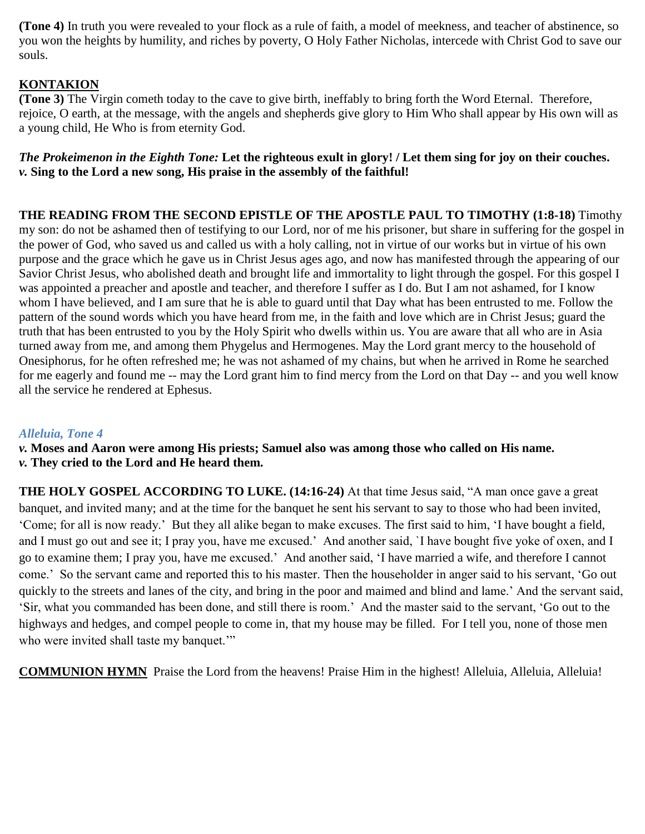**(Tone 4)** In truth you were revealed to your flock as a rule of faith, a model of meekness, and teacher of abstinence, so you won the heights by humility, and riches by poverty, O Holy Father Nicholas, intercede with Christ God to save our souls.

## **KONTAKION**

**(Tone 3)** The Virgin cometh today to the cave to give birth, ineffably to bring forth the Word Eternal. Therefore, rejoice, O earth, at the message, with the angels and shepherds give glory to Him Who shall appear by His own will as a young child, He Who is from eternity God.

*The Prokeimenon in the Eighth Tone:* **Let the righteous exult in glory! / Let them sing for joy on their couches.** *v.* **Sing to the Lord a new song, His praise in the assembly of the faithful!**

**THE READING FROM THE SECOND EPISTLE OF THE APOSTLE PAUL TO TIMOTHY (1:8-18)** Timothy my son: do not be ashamed then of testifying to our Lord, nor of me his prisoner, but share in suffering for the gospel in the power of God, who saved us and called us with a holy calling, not in virtue of our works but in virtue of his own purpose and the grace which he gave us in Christ Jesus ages ago, and now has manifested through the appearing of our Savior Christ Jesus, who abolished death and brought life and immortality to light through the gospel. For this gospel I was appointed a preacher and apostle and teacher, and therefore I suffer as I do. But I am not ashamed, for I know whom I have believed, and I am sure that he is able to guard until that Day what has been entrusted to me. Follow the pattern of the sound words which you have heard from me, in the faith and love which are in Christ Jesus; guard the truth that has been entrusted to you by the Holy Spirit who dwells within us. You are aware that all who are in Asia turned away from me, and among them Phygelus and Hermogenes. May the Lord grant mercy to the household of Onesiphorus, for he often refreshed me; he was not ashamed of my chains, but when he arrived in Rome he searched for me eagerly and found me -- may the Lord grant him to find mercy from the Lord on that Day -- and you well know all the service he rendered at Ephesus.

## *Alleluia, Tone 4*

*v.* **Moses and Aaron were among His priests; Samuel also was among those who called on His name.** *v.* **They cried to the Lord and He heard them.**

**THE HOLY GOSPEL ACCORDING TO LUKE. (14:16-24)** At that time Jesus said, "A man once gave a great banquet, and invited many; and at the time for the banquet he sent his servant to say to those who had been invited, 'Come; for all is now ready.' But they all alike began to make excuses. The first said to him, 'I have bought a field, and I must go out and see it; I pray you, have me excused.' And another said, `I have bought five yoke of oxen, and I go to examine them; I pray you, have me excused.' And another said, 'I have married a wife, and therefore I cannot come.' So the servant came and reported this to his master. Then the householder in anger said to his servant, 'Go out quickly to the streets and lanes of the city, and bring in the poor and maimed and blind and lame.' And the servant said, 'Sir, what you commanded has been done, and still there is room.' And the master said to the servant, 'Go out to the highways and hedges, and compel people to come in, that my house may be filled. For I tell you, none of those men who were invited shall taste my banquet."

**COMMUNION HYMN** Praise the Lord from the heavens! Praise Him in the highest! Alleluia, Alleluia, Alleluia!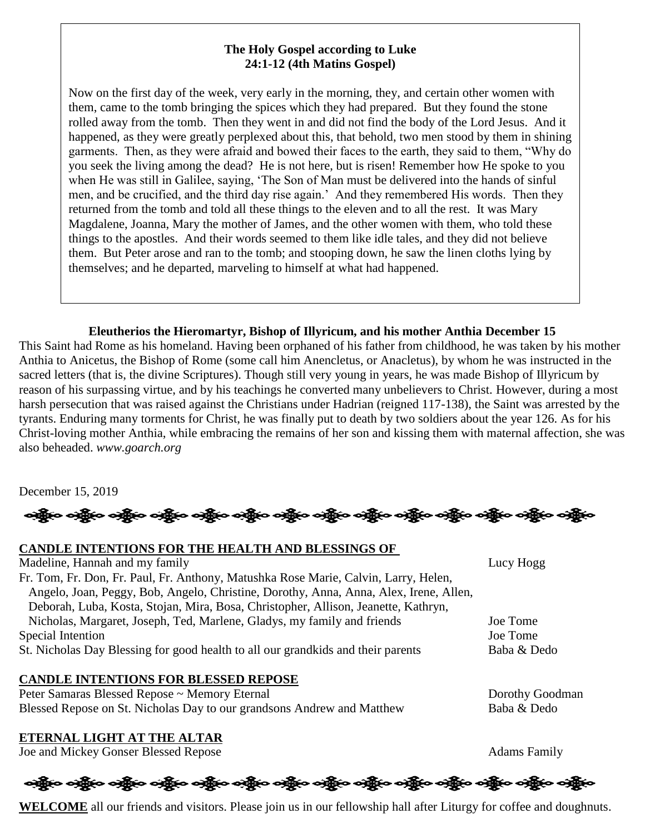## **The Holy Gospel according to Luke 24:1-12 (4th Matins Gospel)**

Now on the first day of the week, very early in the morning, they, and certain other women with them, came to the tomb bringing the spices which they had prepared. But they found the stone rolled away from the tomb. Then they went in and did not find the body of the Lord Jesus. And it happened, as they were greatly perplexed about this, that behold, two men stood by them in shining garments. Then, as they were afraid and bowed their faces to the earth, they said to them, "Why do you seek the living among the dead? He is not here, but is risen! Remember how He spoke to you when He was still in Galilee, saying, 'The Son of Man must be delivered into the hands of sinful men, and be crucified, and the third day rise again.' And they remembered His words. Then they returned from the tomb and told all these things to the eleven and to all the rest. It was Mary Magdalene, Joanna, Mary the mother of James, and the other women with them, who told these things to the apostles. And their words seemed to them like idle tales, and they did not believe them. But Peter arose and ran to the tomb; and stooping down, he saw the linen cloths lying by themselves; and he departed, marveling to himself at what had happened.

#### **Eleutherios the Hieromartyr, Bishop of Illyricum, and his mother Anthia December 15**

This Saint had Rome as his homeland. Having been orphaned of his father from childhood, he was taken by his mother Anthia to Anicetus, the Bishop of Rome (some call him Anencletus, or Anacletus), by whom he was instructed in the sacred letters (that is, the divine Scriptures). Though still very young in years, he was made Bishop of Illyricum by reason of his surpassing virtue, and by his teachings he converted many unbelievers to Christ. However, during a most harsh persecution that was raised against the Christians under Hadrian (reigned 117-138), the Saint was arrested by the tyrants. Enduring many torments for Christ, he was finally put to death by two soldiers about the year 126. As for his Christ-loving mother Anthia, while embracing the remains of her son and kissing them with maternal affection, she was also beheaded. *www.goarch.org*

December 15, 2019

က်ို့မ ဝတ္ထိုး ဝတ္ထိုး ဝတ္ထိုး ဝတ္ထိုး ဝတ္ထိုး ဝတ္ထိုး ဝတ္ထိုး ဝတ္ထိုး ဝတ္ထိုး ဝတ္ထိုး ဝတ္ထိုး ဝတ္ထိုး ဝ

| CANDLE INTENTIONS FOR THE HEALTH AND BLESSINGS OF                                     |                 |
|---------------------------------------------------------------------------------------|-----------------|
| Madeline, Hannah and my family                                                        | Lucy Hogg       |
| Fr. Tom, Fr. Don, Fr. Paul, Fr. Anthony, Matushka Rose Marie, Calvin, Larry, Helen,   |                 |
| Angelo, Joan, Peggy, Bob, Angelo, Christine, Dorothy, Anna, Anna, Alex, Irene, Allen, |                 |
| Deborah, Luba, Kosta, Stojan, Mira, Bosa, Christopher, Allison, Jeanette, Kathryn,    |                 |
| Nicholas, Margaret, Joseph, Ted, Marlene, Gladys, my family and friends               | Joe Tome        |
| Special Intention                                                                     | Joe Tome        |
| St. Nicholas Day Blessing for good health to all our grandkids and their parents      | Baba & Dedo     |
| <b>CANDLE INTENTIONS FOR BLESSED REPOSE</b>                                           |                 |
| Peter Samaras Blessed Repose ~ Memory Eternal                                         | Dorothy Goodman |
| Blessed Repose on St. Nicholas Day to our grandsons Andrew and Matthew                | Baba & Dedo     |

### **ETERNAL LIGHT AT THE ALTAR**

Joe and Mickey Gonser Blessed Repose Adams Family

# လန္တြိုးေလ့ရွိပဲေလ့ရွိပဲေလ့ရွိပဲေလ့ရွိပဲေလ့ရွိပဲေလ့ရွိပဲေလ့ရွိပဲေလ့ရွိပဲေလ့ရွိပဲေလ့ရွိပဲေလ့ရွိပဲေလ့ရွိပဲေ

**WELCOME** all our friends and visitors. Please join us in our fellowship hall after Liturgy for coffee and doughnuts.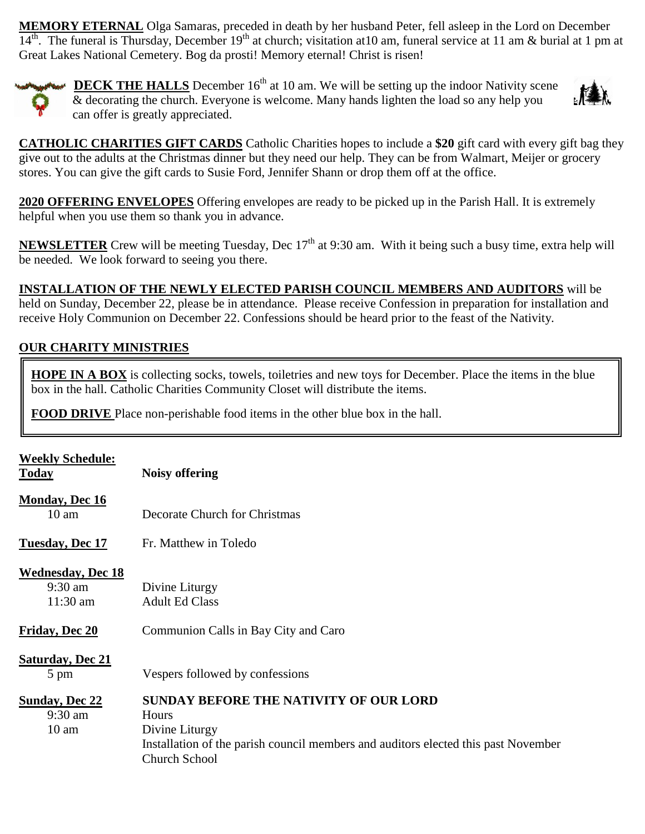**MEMORY ETERNAL** Olga Samaras, preceded in death by her husband Peter, fell asleep in the Lord on December  $14<sup>th</sup>$ . The funeral is Thursday, December 19<sup>th</sup> at church; visitation at 10 am, funeral service at 11 am & burial at 1 pm at Great Lakes National Cemetery. Bog da prosti! Memory eternal! Christ is risen!



**DECK THE HALLS** December 16<sup>th</sup> at 10 am. We will be setting up the indoor Nativity scene & decorating the church. Everyone is welcome. Many hands lighten the load so any help you can offer is greatly appreciated.



**CATHOLIC CHARITIES GIFT CARDS** Catholic Charities hopes to include a **\$20** gift card with every gift bag they give out to the adults at the Christmas dinner but they need our help. They can be from Walmart, Meijer or grocery stores. You can give the gift cards to Susie Ford, Jennifer Shann or drop them off at the office.

**2020 OFFERING ENVELOPES** Offering envelopes are ready to be picked up in the Parish Hall. It is extremely helpful when you use them so thank you in advance.

**NEWSLETTER** Crew will be meeting Tuesday, Dec  $17<sup>th</sup>$  at 9:30 am. With it being such a busy time, extra help will be needed. We look forward to seeing you there.

# **INSTALLATION OF THE NEWLY ELECTED PARISH COUNCIL MEMBERS AND AUDITORS** will be

held on Sunday, December 22, please be in attendance. Please receive Confession in preparation for installation and receive Holy Communion on December 22. Confessions should be heard prior to the feast of the Nativity.

# **OUR CHARITY MINISTRIES**

**HOPE IN A BOX** is collecting socks, towels, toiletries and new toys for December. Place the items in the blue box in the hall. Catholic Charities Community Closet will distribute the items.

**FOOD DRIVE** Place non-perishable food items in the other blue box in the hall.

| <b>Weekly Schedule:</b><br><b>Today</b>                | <b>Noisy offering</b>                                                                                                                                                                  |
|--------------------------------------------------------|----------------------------------------------------------------------------------------------------------------------------------------------------------------------------------------|
| <b>Monday</b> , Dec 16<br>$10 \text{ am}$              | <b>Decorate Church for Christmas</b>                                                                                                                                                   |
| Tuesday, Dec 17                                        | Fr. Matthew in Toledo                                                                                                                                                                  |
| <b>Wednesday, Dec 18</b><br>$9:30$ am<br>$11:30$ am    | Divine Liturgy<br><b>Adult Ed Class</b>                                                                                                                                                |
| <b>Friday, Dec 20</b>                                  | Communion Calls in Bay City and Caro                                                                                                                                                   |
| <b>Saturday, Dec 21</b><br>5 pm                        | Vespers followed by confessions                                                                                                                                                        |
| <b>Sunday, Dec 22</b><br>$9:30$ am<br>10 <sub>am</sub> | <b>SUNDAY BEFORE THE NATIVITY OF OUR LORD</b><br>Hours<br>Divine Liturgy<br>Installation of the parish council members and auditors elected this past November<br><b>Church School</b> |